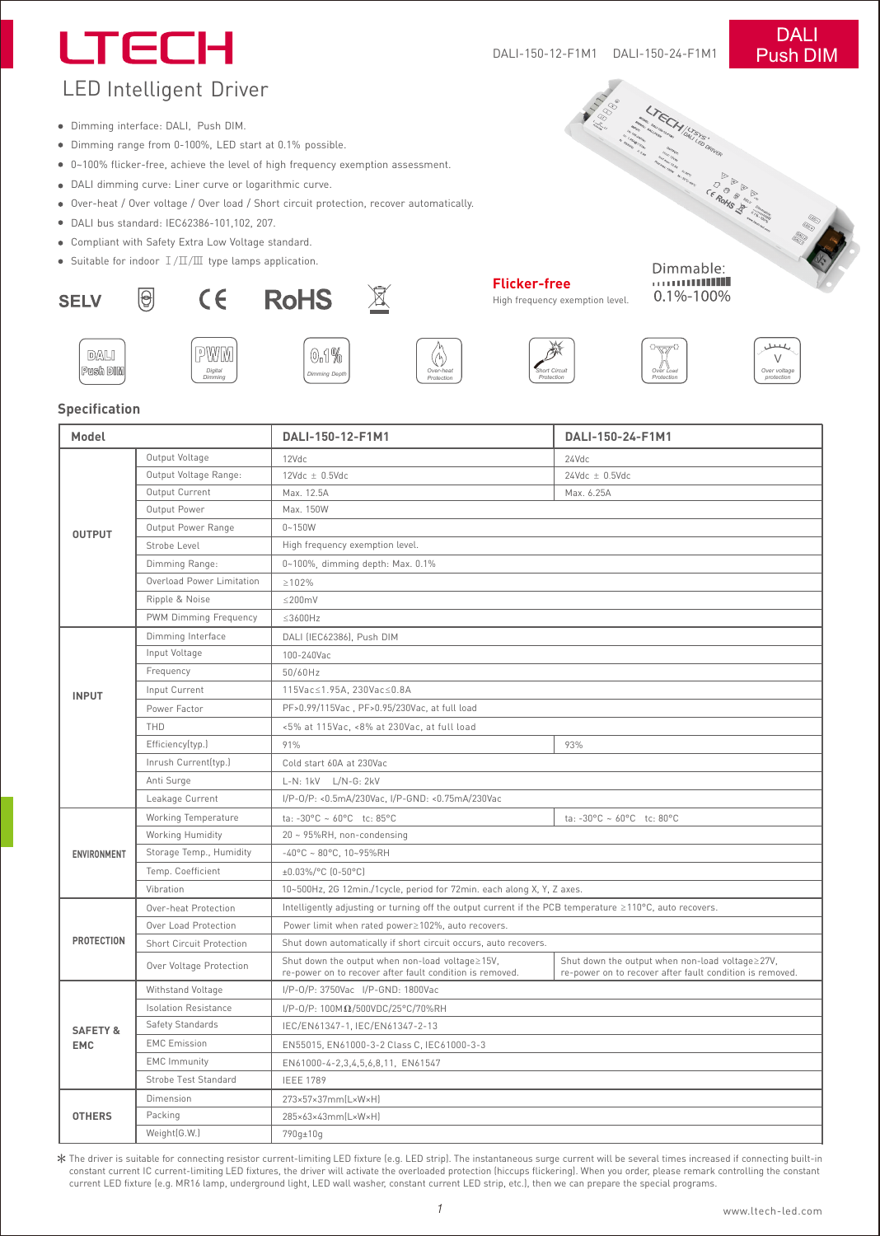# LTECH

### **DALI** Push DIM

## LED Intelligent Driver

- Dimming interface: DALI, Push DIM.
- Dimming range from 0-100%, LED start at 0.1% possible.
- 0~100% flicker-free, achieve the level of high frequency exemption assessment.
- DALI dimming curve: Liner curve or logarithmic curve.
- Over-heat / Over voltage / Over load / Short circuit protection, recover automatically.
- DALI bus standard: IEC62386-101,102, 207.

 $\Theta$ 

- Compliant with Safety Extra Low Voltage standard.
- Suitable for indoor  $I/\Pi/\Pi$  type lamps application.

*Digital Dimming* WM





*Dimming Depth*





**Flicker-free** High frequency exemption level.

Dimmable: 0.1%-100%

*Over Load Protection*







#### **Specification**

DALI Push DIM

**SELV** 

| Model                             |                                 | DALI-150-12-F1M1                                                                                            | DALI-150-24-F1M1                                                                                            |
|-----------------------------------|---------------------------------|-------------------------------------------------------------------------------------------------------------|-------------------------------------------------------------------------------------------------------------|
| <b>OUTPUT</b>                     | Output Voltage                  | 12Vdc                                                                                                       | 24Vdc                                                                                                       |
|                                   | Output Voltage Range:           | $12$ Vdc $\pm$ 0.5Vdc                                                                                       | $24Vdc \pm 0.5Vdc$                                                                                          |
|                                   | Output Current                  | Max. 12.5A                                                                                                  | Max. 6.25A                                                                                                  |
|                                   | Output Power                    | Max. 150W                                                                                                   |                                                                                                             |
|                                   | Output Power Range              | $0 - 150W$                                                                                                  |                                                                                                             |
|                                   | Strobe Level                    | High frequency exemption level.                                                                             |                                                                                                             |
|                                   | Dimming Range:                  | 0~100%, dimming depth: Max. 0.1%                                                                            |                                                                                                             |
|                                   | Overload Power Limitation       | $\geq 102\%$                                                                                                |                                                                                                             |
|                                   | Ripple & Noise                  | $\leq$ 200mV                                                                                                |                                                                                                             |
|                                   | PWM Dimming Frequency           | $\leq$ 3600Hz                                                                                               |                                                                                                             |
| <b>INPUT</b>                      | Dimming Interface               | DALI (IEC62386), Push DIM                                                                                   |                                                                                                             |
|                                   | Input Voltage                   | 100-240Vac                                                                                                  |                                                                                                             |
|                                   | Frequency                       | 50/60Hz                                                                                                     |                                                                                                             |
|                                   | Input Current                   | 115Vac≤1.95A, 230Vac≤0.8A                                                                                   |                                                                                                             |
|                                   | Power Factor                    | PF>0.99/115Vac, PF>0.95/230Vac, at full load                                                                |                                                                                                             |
|                                   | THD                             | <5% at 115Vac, <8% at 230Vac, at full load                                                                  |                                                                                                             |
|                                   | Efficiency(typ.)                | 91%                                                                                                         | 93%                                                                                                         |
|                                   | Inrush Current(typ.)            | Cold start 60A at 230Vac                                                                                    |                                                                                                             |
|                                   | Anti Surge                      | L-N: 1kV L/N-G: 2kV                                                                                         |                                                                                                             |
|                                   | Leakage Current                 | I/P-0/P: <0.5mA/230Vac, I/P-GND: <0.75mA/230Vac                                                             |                                                                                                             |
| ENVIRONMENT                       | Working Temperature             | ta: -30°C ~ 60°C tc: 85°C                                                                                   | ta: -30°C ~ 60°C tc: 80°C                                                                                   |
|                                   | Working Humidity                | 20 ~ 95%RH, non-condensing                                                                                  |                                                                                                             |
|                                   | Storage Temp., Humidity         | $-40^{\circ}$ C ~ 80°C, 10~95%RH                                                                            |                                                                                                             |
|                                   | Temp. Coefficient               | ±0.03%/°C (0-50°C)                                                                                          |                                                                                                             |
|                                   | Vibration                       | 10~500Hz, 2G 12min./1cycle, period for 72min. each along X, Y, Z axes.                                      |                                                                                                             |
| <b>PROTECTION</b>                 | Over-heat Protection            | Intelligently adjusting or turning off the output current if the PCB temperature ≥110°C, auto recovers.     |                                                                                                             |
|                                   | Over Load Protection            | Power limit when rated power≥102%, auto recovers.                                                           |                                                                                                             |
|                                   | <b>Short Circuit Protection</b> | Shut down automatically if short circuit occurs, auto recovers.                                             |                                                                                                             |
|                                   | Over Voltage Protection         | Shut down the output when non-load voltage≥15V,<br>re-power on to recover after fault condition is removed. | Shut down the output when non-load voltage≥27V,<br>re-power on to recover after fault condition is removed. |
| <b>SAFETY &amp;</b><br><b>EMC</b> | Withstand Voltage               | I/P-0/P: 3750Vac I/P-GND: 1800Vac                                                                           |                                                                                                             |
|                                   | <b>Isolation Resistance</b>     | I/P-0/P: $100M\Omega/500VDC/25°C/70%RH$                                                                     |                                                                                                             |
|                                   | Safety Standards                | IEC/EN61347-1, IEC/EN61347-2-13                                                                             |                                                                                                             |
|                                   | <b>EMC Emission</b>             | EN55015, EN61000-3-2 Class C, IEC61000-3-3                                                                  |                                                                                                             |
|                                   | <b>EMC</b> Immunity             | EN61000-4-2,3,4,5,6,8,11, EN61547                                                                           |                                                                                                             |
|                                   | Strobe Test Standard            | <b>IEEE 1789</b>                                                                                            |                                                                                                             |
| <b>OTHERS</b>                     | Dimension                       | 273×57×37mm(L×W×H)                                                                                          |                                                                                                             |
|                                   | Packing                         | 285×63×43mm(L×W×H)                                                                                          |                                                                                                             |
|                                   | Weight(G.W.)                    | 790q±10q                                                                                                    |                                                                                                             |

The driver is suitable for connecting resistor current-limiting LED fixture (e.g. LED strip). The instantaneous surge current will be several times increased if connecting built-in<br>constant current IC current-limiting LED